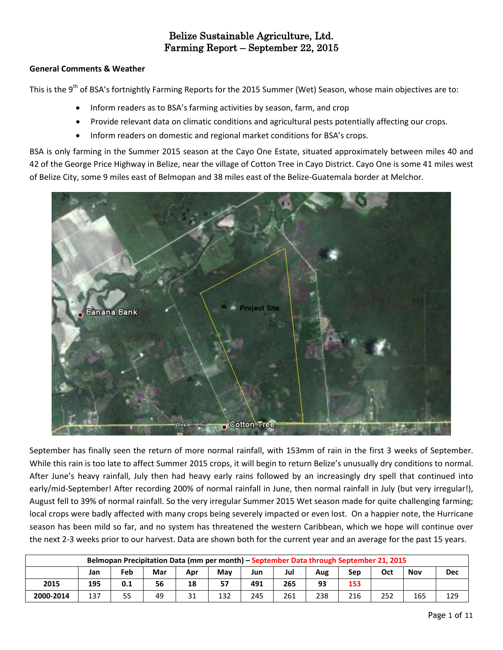## **General Comments & Weather**

This is the 9<sup>th</sup> of BSA's fortnightly Farming Reports for the 2015 Summer (Wet) Season, whose main objectives are to:

- Inform readers as to BSA's farming activities by season, farm, and crop
- Provide relevant data on climatic conditions and agricultural pests potentially affecting our crops.
- Inform readers on domestic and regional market conditions for BSA's crops.

BSA is only farming in the Summer 2015 season at the Cayo One Estate, situated approximately between miles 40 and 42 of the George Price Highway in Belize, near the village of Cotton Tree in Cayo District. Cayo One is some 41 miles west of Belize City, some 9 miles east of Belmopan and 38 miles east of the Belize-Guatemala border at Melchor.



September has finally seen the return of more normal rainfall, with 153mm of rain in the first 3 weeks of September. While this rain is too late to affect Summer 2015 crops, it will begin to return Belize's unusually dry conditions to normal. After June's heavy rainfall, July then had heavy early rains followed by an increasingly dry spell that continued into early/mid-September! After recording 200% of normal rainfall in June, then normal rainfall in July (but very irregular!), August fell to 39% of normal rainfall. So the very irregular Summer 2015 Wet season made for quite challenging farming; local crops were badly affected with many crops being severely impacted or even lost. On a happier note, the Hurricane season has been mild so far, and no system has threatened the western Caribbean, which we hope will continue over the next 2-3 weeks prior to our harvest. Data are shown both for the current year and an average for the past 15 years.

| Belmopan Precipitation Data (mm per month) – September Data through September 21, 2015 |     |     |     |     |     |     |     |     |     |     |            |            |  |
|----------------------------------------------------------------------------------------|-----|-----|-----|-----|-----|-----|-----|-----|-----|-----|------------|------------|--|
|                                                                                        | Jan | Feb | Mar | Apr | May | Jun | Jul | Aug | Sep | Oct | <b>Nov</b> | <b>Dec</b> |  |
| 2015                                                                                   | 195 | 0.1 | 56  | 18  | 57  | 491 | 265 | 93  | 153 |     |            |            |  |
| 2000-2014                                                                              | 137 | 55  | 49  | 31  | 132 | 245 | 261 | 238 | 216 | 252 | 165        | 129        |  |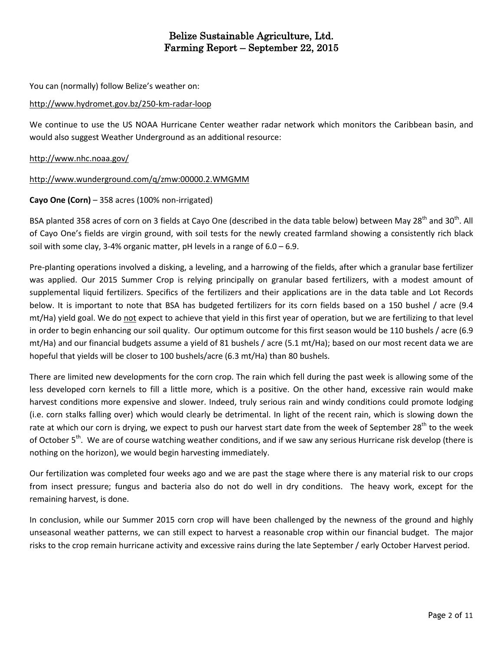You can (normally) follow Belize's weather on:

## <http://www.hydromet.gov.bz/250-km-radar-loop>

We continue to use the US NOAA Hurricane Center weather radar network which monitors the Caribbean basin, and would also suggest Weather Underground as an additional resource:

## <http://www.nhc.noaa.gov/>

### <http://www.wunderground.com/q/zmw:00000.2.WMGMM>

### **Cayo One (Corn)** – 358 acres (100% non-irrigated)

BSA planted 358 acres of corn on 3 fields at Cayo One (described in the data table below) between May 28<sup>th</sup> and 30<sup>th</sup>. All of Cayo One's fields are virgin ground, with soil tests for the newly created farmland showing a consistently rich black soil with some clay, 3-4% organic matter, pH levels in a range of  $6.0 - 6.9$ .

Pre-planting operations involved a disking, a leveling, and a harrowing of the fields, after which a granular base fertilizer was applied. Our 2015 Summer Crop is relying principally on granular based fertilizers, with a modest amount of supplemental liquid fertilizers. Specifics of the fertilizers and their applications are in the data table and Lot Records below. It is important to note that BSA has budgeted fertilizers for its corn fields based on a 150 bushel / acre (9.4 mt/Ha) yield goal. We do not expect to achieve that yield in this first year of operation, but we are fertilizing to that level in order to begin enhancing our soil quality. Our optimum outcome for this first season would be 110 bushels / acre (6.9 mt/Ha) and our financial budgets assume a yield of 81 bushels / acre (5.1 mt/Ha); based on our most recent data we are hopeful that yields will be closer to 100 bushels/acre (6.3 mt/Ha) than 80 bushels.

There are limited new developments for the corn crop. The rain which fell during the past week is allowing some of the less developed corn kernels to fill a little more, which is a positive. On the other hand, excessive rain would make harvest conditions more expensive and slower. Indeed, truly serious rain and windy conditions could promote lodging (i.e. corn stalks falling over) which would clearly be detrimental. In light of the recent rain, which is slowing down the rate at which our corn is drying, we expect to push our harvest start date from the week of September 28<sup>th</sup> to the week of October 5<sup>th</sup>. We are of course watching weather conditions, and if we saw any serious Hurricane risk develop (there is nothing on the horizon), we would begin harvesting immediately.

Our fertilization was completed four weeks ago and we are past the stage where there is any material risk to our crops from insect pressure; fungus and bacteria also do not do well in dry conditions. The heavy work, except for the remaining harvest, is done.

In conclusion, while our Summer 2015 corn crop will have been challenged by the newness of the ground and highly unseasonal weather patterns, we can still expect to harvest a reasonable crop within our financial budget. The major risks to the crop remain hurricane activity and excessive rains during the late September / early October Harvest period.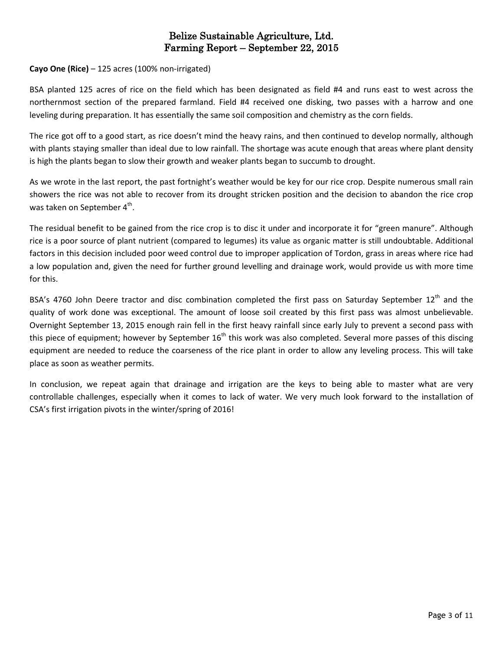## **Cayo One (Rice)** – 125 acres (100% non-irrigated)

BSA planted 125 acres of rice on the field which has been designated as field #4 and runs east to west across the northernmost section of the prepared farmland. Field #4 received one disking, two passes with a harrow and one leveling during preparation. It has essentially the same soil composition and chemistry as the corn fields.

The rice got off to a good start, as rice doesn't mind the heavy rains, and then continued to develop normally, although with plants staying smaller than ideal due to low rainfall. The shortage was acute enough that areas where plant density is high the plants began to slow their growth and weaker plants began to succumb to drought.

As we wrote in the last report, the past fortnight's weather would be key for our rice crop. Despite numerous small rain showers the rice was not able to recover from its drought stricken position and the decision to abandon the rice crop was taken on September 4<sup>th</sup>.

The residual benefit to be gained from the rice crop is to disc it under and incorporate it for "green manure". Although rice is a poor source of plant nutrient (compared to legumes) its value as organic matter is still undoubtable. Additional factors in this decision included poor weed control due to improper application of Tordon, grass in areas where rice had a low population and, given the need for further ground levelling and drainage work, would provide us with more time for this.

BSA's 4760 John Deere tractor and disc combination completed the first pass on Saturday September 12<sup>th</sup> and the quality of work done was exceptional. The amount of loose soil created by this first pass was almost unbelievable. Overnight September 13, 2015 enough rain fell in the first heavy rainfall since early July to prevent a second pass with this piece of equipment; however by September  $16<sup>th</sup>$  this work was also completed. Several more passes of this discing equipment are needed to reduce the coarseness of the rice plant in order to allow any leveling process. This will take place as soon as weather permits.

In conclusion, we repeat again that drainage and irrigation are the keys to being able to master what are very controllable challenges, especially when it comes to lack of water. We very much look forward to the installation of CSA's first irrigation pivots in the winter/spring of 2016!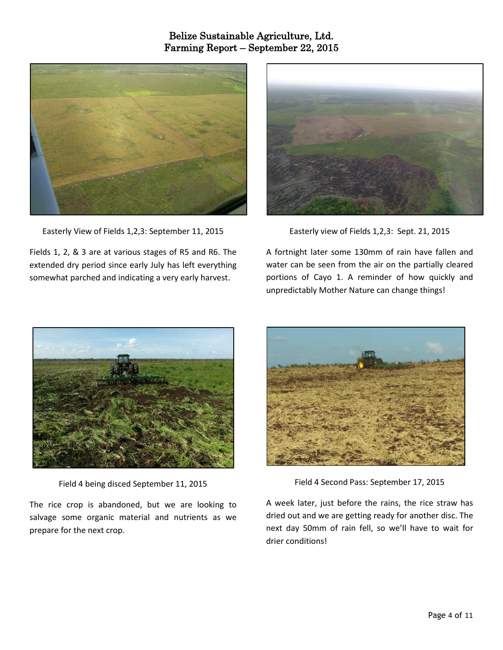

Easterly View of Fields 1,2,3: September 11, 2015

Fields 1, 2, & 3 are at various stages of R5 and R6. The extended dry period since early July has left everything somewhat parched and indicating a very early harvest.



Easterly view of Fields 1,2,3: Sept. 21, 2015

A fortnight later some 130mm of rain have fallen and water can be seen from the air on the partially cleared portions of Cayo 1. A reminder of how quickly and unpredictably Mother Nature can change things!



Field 4 being disced September 11, 2015

The rice crop is abandoned, but we are looking to salvage some organic material and nutrients as we prepare for the next crop.



Field 4 Second Pass: September 17, 2015

A week later, just before the rains, the rice straw has dried out and we are getting ready for another disc. The next day 50mm of rain fell, so we'll have to wait for drier conditions!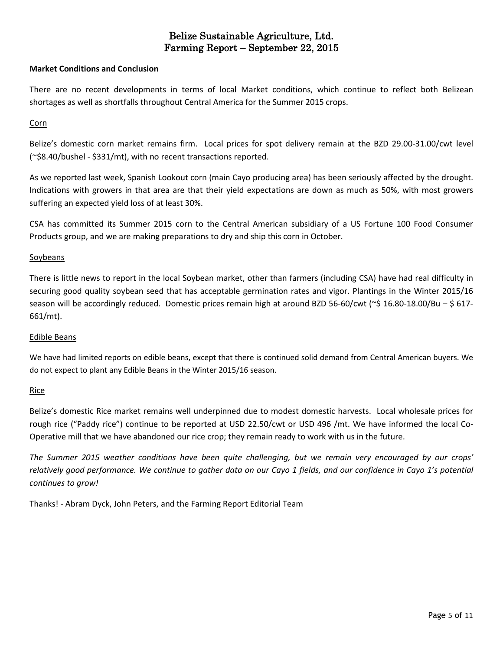#### **Market Conditions and Conclusion**

There are no recent developments in terms of local Market conditions, which continue to reflect both Belizean shortages as well as shortfalls throughout Central America for the Summer 2015 crops.

#### Corn

Belize's domestic corn market remains firm. Local prices for spot delivery remain at the BZD 29.00-31.00/cwt level (~\$8.40/bushel - \$331/mt), with no recent transactions reported.

As we reported last week, Spanish Lookout corn (main Cayo producing area) has been seriously affected by the drought. Indications with growers in that area are that their yield expectations are down as much as 50%, with most growers suffering an expected yield loss of at least 30%.

CSA has committed its Summer 2015 corn to the Central American subsidiary of a US Fortune 100 Food Consumer Products group, and we are making preparations to dry and ship this corn in October.

### **Soybeans**

There is little news to report in the local Soybean market, other than farmers (including CSA) have had real difficulty in securing good quality soybean seed that has acceptable germination rates and vigor. Plantings in the Winter 2015/16 season will be accordingly reduced. Domestic prices remain high at around BZD 56-60/cwt ( $\approx$  \$ 16.80-18.00/Bu – \$ 617-661/mt).

#### Edible Beans

We have had limited reports on edible beans, except that there is continued solid demand from Central American buyers. We do not expect to plant any Edible Beans in the Winter 2015/16 season.

## Rice

Belize's domestic Rice market remains well underpinned due to modest domestic harvests. Local wholesale prices for rough rice ("Paddy rice") continue to be reported at USD 22.50/cwt or USD 496 /mt. We have informed the local Co-Operative mill that we have abandoned our rice crop; they remain ready to work with us in the future.

The Summer 2015 weather conditions have been quite challenging, but we remain very encouraged by our crops' relatively good performance. We continue to gather data on our Cayo 1 fields, and our confidence in Cayo 1's potential *continues to grow!*

Thanks! - Abram Dyck, John Peters, and the Farming Report Editorial Team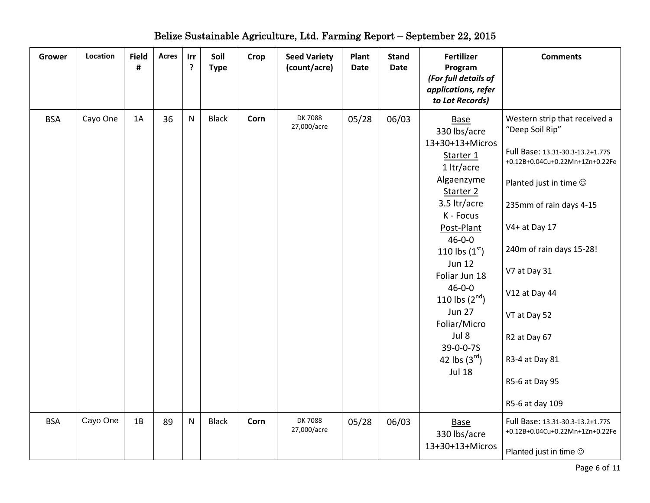| Grower     | Location | <b>Field</b><br># | <b>Acres</b> | Irr<br>? | Soil<br><b>Type</b> | Crop | <b>Seed Variety</b><br>(count/acre) | Plant<br><b>Date</b> | <b>Stand</b><br><b>Date</b> | <b>Fertilizer</b><br>Program<br>(For full details of<br>applications, refer<br>to Lot Records)                                                                                                                                                                                                                                                             | <b>Comments</b>                                                                                                                                                                                                                                                                                                                                         |
|------------|----------|-------------------|--------------|----------|---------------------|------|-------------------------------------|----------------------|-----------------------------|------------------------------------------------------------------------------------------------------------------------------------------------------------------------------------------------------------------------------------------------------------------------------------------------------------------------------------------------------------|---------------------------------------------------------------------------------------------------------------------------------------------------------------------------------------------------------------------------------------------------------------------------------------------------------------------------------------------------------|
| <b>BSA</b> | Cayo One | 1A                | 36           | N        | <b>Black</b>        | Corn | DK 7088<br>27,000/acre              | 05/28                | 06/03                       | <b>Base</b><br>330 lbs/acre<br>13+30+13+Micros<br>Starter 1<br>1 ltr/acre<br>Algaenzyme<br>Starter 2<br>3.5 ltr/acre<br>K - Focus<br>Post-Plant<br>$46 - 0 - 0$<br>110 lbs $(1^{st})$<br><b>Jun 12</b><br>Foliar Jun 18<br>$46 - 0 - 0$<br>110 lbs $(2^{nd})$<br><b>Jun 27</b><br>Foliar/Micro<br>Jul 8<br>39-0-0-7S<br>42 lbs $(3^{rd})$<br><b>Jul 18</b> | Western strip that received a<br>"Deep Soil Rip"<br>Full Base: 13.31-30.3-13.2+1.77S<br>+0.12B+0.04Cu+0.22Mn+1Zn+0.22Fe<br>Planted just in time $\odot$<br>235mm of rain days 4-15<br>V4+ at Day 17<br>240m of rain days 15-28!<br>V7 at Day 31<br>V12 at Day 44<br>VT at Day 52<br>R2 at Day 67<br>R3-4 at Day 81<br>R5-6 at Day 95<br>R5-6 at day 109 |
| <b>BSA</b> | Cayo One | 1B                | 89           | N        | <b>Black</b>        | Corn | <b>DK7088</b><br>27,000/acre        | 05/28                | 06/03                       | <b>Base</b><br>330 lbs/acre<br>13+30+13+Micros                                                                                                                                                                                                                                                                                                             | Full Base: 13.31-30.3-13.2+1.77S<br>+0.12B+0.04Cu+0.22Mn+1Zn+0.22Fe<br>Planted just in time ©                                                                                                                                                                                                                                                           |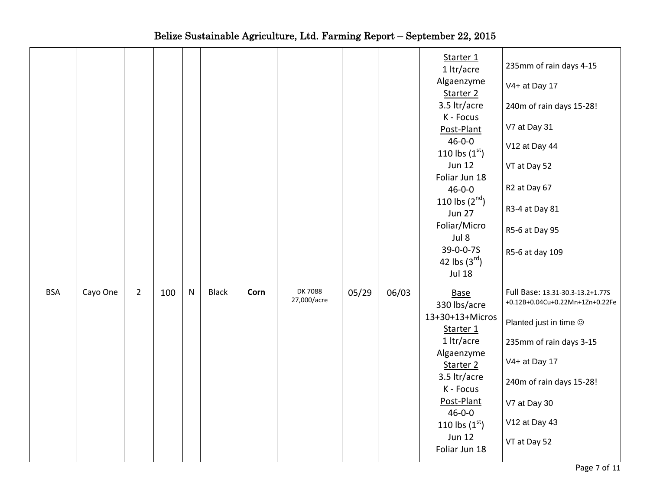|            |          |                |     |   |              |      |                              |       |       | Starter 1<br>1 ltr/acre<br>Algaenzyme<br>Starter 2<br>3.5 ltr/acre<br>K - Focus<br>Post-Plant<br>$46 - 0 - 0$<br>110 lbs $(1^{st})$<br><b>Jun 12</b><br>Foliar Jun 18<br>$46 - 0 - 0$<br>110 lbs $(2^{nd})$<br><b>Jun 27</b><br>Foliar/Micro<br>Jul 8<br>39-0-0-7S<br>42 lbs $(3^{rd})$<br><b>Jul 18</b> | 235mm of rain days 4-15<br>V4+ at Day 17<br>240m of rain days 15-28!<br>V7 at Day 31<br>V12 at Day 44<br>VT at Day 52<br>R2 at Day 67<br>R3-4 at Day 81<br>R5-6 at Day 95<br>R5-6 at day 109                                        |
|------------|----------|----------------|-----|---|--------------|------|------------------------------|-------|-------|----------------------------------------------------------------------------------------------------------------------------------------------------------------------------------------------------------------------------------------------------------------------------------------------------------|-------------------------------------------------------------------------------------------------------------------------------------------------------------------------------------------------------------------------------------|
| <b>BSA</b> | Cayo One | $\overline{2}$ | 100 | N | <b>Black</b> | Corn | <b>DK7088</b><br>27,000/acre | 05/29 | 06/03 | <b>Base</b><br>330 lbs/acre<br>13+30+13+Micros<br>Starter 1<br>1 ltr/acre<br>Algaenzyme<br>Starter 2<br>3.5 ltr/acre<br>K - Focus<br>Post-Plant<br>$46 - 0 - 0$<br>110 lbs $(1^{st})$<br><b>Jun 12</b><br>Foliar Jun 18                                                                                  | Full Base: 13.31-30.3-13.2+1.77S<br>+0.12B+0.04Cu+0.22Mn+1Zn+0.22Fe<br>Planted just in time $\circledcirc$<br>235mm of rain days 3-15<br>V4+ at Day 17<br>240m of rain days 15-28!<br>V7 at Day 30<br>V12 at Day 43<br>VT at Day 52 |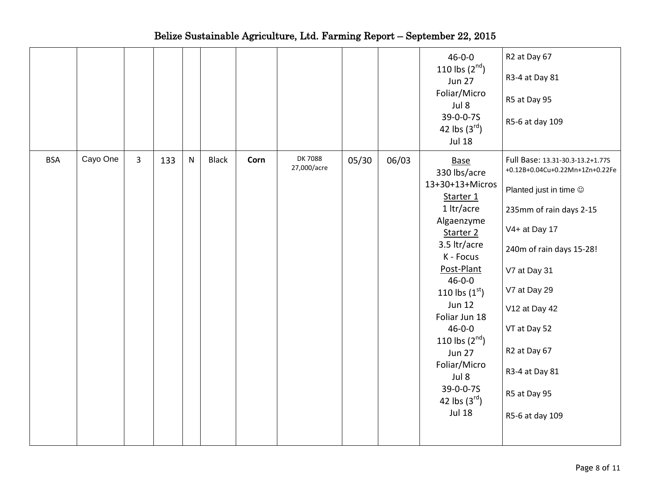|            |          |                |     |           |              |      |                        |       |       | $46 - 0 - 0$<br>110 lbs $(2^{nd})$<br><b>Jun 27</b><br>Foliar/Micro<br>Jul 8<br>39-0-0-7S<br>42 lbs $(3^{rd})$<br><b>Jul 18</b>                                                                                                                                                                                                                            | R2 at Day 67<br>R3-4 at Day 81<br>R5 at Day 95<br>R5-6 at day 109                                                                                                                                                                                                                                                        |
|------------|----------|----------------|-----|-----------|--------------|------|------------------------|-------|-------|------------------------------------------------------------------------------------------------------------------------------------------------------------------------------------------------------------------------------------------------------------------------------------------------------------------------------------------------------------|--------------------------------------------------------------------------------------------------------------------------------------------------------------------------------------------------------------------------------------------------------------------------------------------------------------------------|
| <b>BSA</b> | Cayo One | $\overline{3}$ | 133 | ${\sf N}$ | <b>Black</b> | Corn | DK 7088<br>27,000/acre | 05/30 | 06/03 | <b>Base</b><br>330 lbs/acre<br>13+30+13+Micros<br>Starter 1<br>1 ltr/acre<br>Algaenzyme<br>Starter 2<br>3.5 ltr/acre<br>K - Focus<br>Post-Plant<br>$46 - 0 - 0$<br>110 lbs $(1^{st})$<br><b>Jun 12</b><br>Foliar Jun 18<br>$46 - 0 - 0$<br>110 lbs $(2^{nd})$<br><b>Jun 27</b><br>Foliar/Micro<br>Jul 8<br>39-0-0-7S<br>42 lbs $(3^{rd})$<br><b>Jul 18</b> | Full Base: 13.31-30.3-13.2+1.77S<br>+0.12B+0.04Cu+0.22Mn+1Zn+0.22Fe<br>Planted just in time $\circledcirc$<br>235mm of rain days 2-15<br>V4+ at Day 17<br>240m of rain days 15-28!<br>V7 at Day 31<br>V7 at Day 29<br>V12 at Day 42<br>VT at Day 52<br>R2 at Day 67<br>R3-4 at Day 81<br>R5 at Day 95<br>R5-6 at day 109 |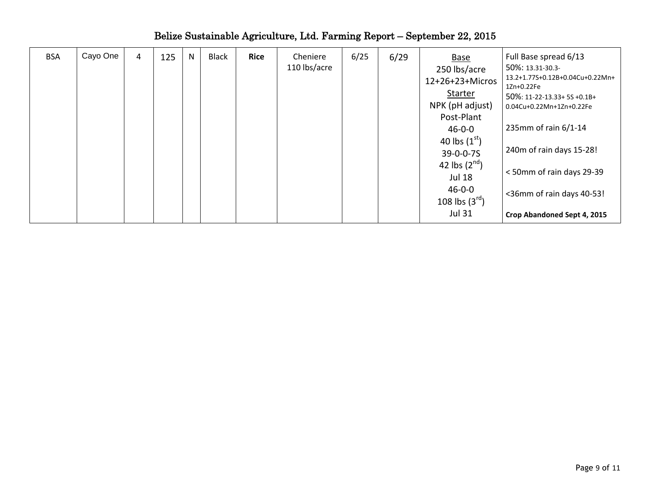| <b>BSA</b> | Cayo One | 4 | 125 | N | <b>Black</b> | <b>Rice</b> | Cheniere<br>110 lbs/acre | 6/25 | 6/29 | <b>Base</b><br>250 lbs/acre<br>12+26+23+Micros<br>Starter<br>NPK (pH adjust)<br>Post-Plant<br>$46 - 0 - 0$ | Full Base spread 6/13<br>50%: 13.31-30.3-<br>13.2+1.77S+0.12B+0.04Cu+0.22Mn+<br>1Zn+0.22Fe<br>50%: 11-22-13.33+ 5S +0.1B+<br>0.04Cu+0.22Mn+1Zn+0.22Fe<br>235mm of rain 6/1-14 |
|------------|----------|---|-----|---|--------------|-------------|--------------------------|------|------|------------------------------------------------------------------------------------------------------------|-------------------------------------------------------------------------------------------------------------------------------------------------------------------------------|
|            |          |   |     |   |              |             |                          |      |      | 40 lbs $(1st)$<br>$39 - 0 - 0 - 75$<br>42 lbs $(2^{nd})$<br><b>Jul 18</b><br>$46 - 0 - 0$                  | 240m of rain days 15-28!<br><50mm of rain days 29-39<br><36mm of rain days 40-53!                                                                                             |
|            |          |   |     |   |              |             |                          |      |      | 108 lbs $(3^{rd})$<br><b>Jul 31</b>                                                                        | Crop Abandoned Sept 4, 2015                                                                                                                                                   |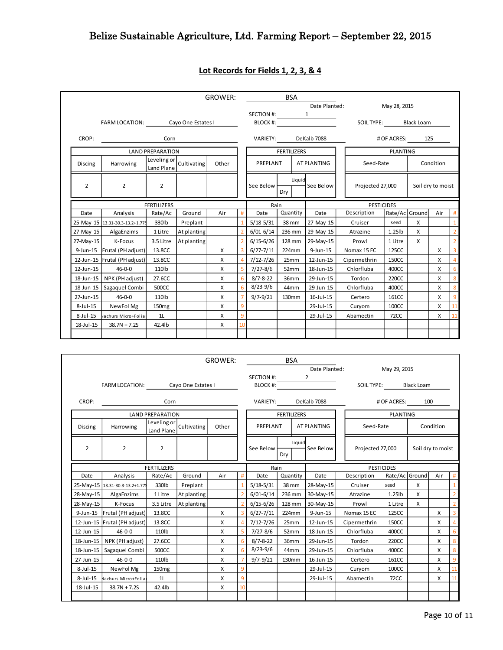|                |                                 |                           |                    | <b>GROWER:</b> |    |                                         | <b>BSA</b>        |                  |                 |                   |                 |                   |           |                 |  |
|----------------|---------------------------------|---------------------------|--------------------|----------------|----|-----------------------------------------|-------------------|------------------|-----------------|-------------------|-----------------|-------------------|-----------|-----------------|--|
|                |                                 |                           |                    |                |    |                                         |                   |                  | Date Planted:   |                   | May 28, 2015    |                   |           |                 |  |
|                |                                 |                           |                    |                |    | SECTION #:                              |                   |                  | $\mathbf{1}$    |                   |                 |                   |           |                 |  |
|                | <b>FARM LOCATION:</b>           |                           | Cayo One Estates I |                |    | <b>BLOCK #:</b>                         |                   |                  |                 | <b>SOIL TYPE:</b> |                 | <b>Black Loam</b> |           |                 |  |
| CROP:          |                                 | Corn                      |                    |                |    | <b>VARIETY:</b>                         |                   |                  | DeKalb 7088     |                   | # OF ACRES:     | 125               |           |                 |  |
|                |                                 | <b>LAND PREPARATION</b>   |                    |                |    | <b>FERTILIZERS</b>                      |                   |                  |                 |                   | <b>PLANTING</b> |                   |           |                 |  |
| Discing        | Harrowing                       | Leveling or<br>Land Plane | Cultivating        | Other          |    | PREPLANT                                |                   |                  | AT PLANTING     | Seed-Rate         |                 |                   | Condition |                 |  |
| $\overline{2}$ | $\overline{2}$                  | $\overline{2}$            |                    |                |    | Liquid<br>See Below<br>See Below<br>Dry |                   | Projected 27,000 |                 | Soil dry to moist |                 |                   |           |                 |  |
|                | <b>FERTILIZERS</b>              |                           |                    | Rain           |    |                                         | <b>PESTICIDES</b> |                  |                 |                   |                 |                   |           |                 |  |
| Date           | Analysis                        | Rate/Ac                   | Ground             | Air            | #  | Date                                    | Quantity          |                  | Date            | Description       | Rate/Ac Ground  |                   | Air       | $\#$            |  |
|                | 25-May-15 13.31-30.3-13.2+1.779 | 330lb                     | Preplant           |                |    | $5/18-5/31$                             | 38 mm             |                  | 27-May-15       | Cruiser           | seed            | X                 |           | $\mathbf{1}$    |  |
| 27-May-15      | AlgaEnzims                      | 1 Litre                   | At planting        |                |    | $6/01 - 6/14$                           | 236 mm            |                  | 29-May-15       | Atrazine          | $1.25$ lb       | X                 |           | $\overline{2}$  |  |
| 27-May-15      | K-Focus                         | 3.5 Litre                 | At planting        |                |    | $6/15 - 6/26$                           | 128 mm            |                  | 29-May-15       | Prowl             | 1 Litre         | X                 |           | $\overline{2}$  |  |
| $9$ -Jun-15    | Frutal (PH adjust)              | 13.8CC                    |                    | x              |    | $6/27 - 7/11$                           | 224mm             |                  | $9$ -Jun-15     | Nomax 15 EC       | 125CC           |                   | X         | $\overline{3}$  |  |
|                | 12-Jun-15 Frutal (PH adjust)    | 13.8CC                    |                    | X              |    | $7/12 - 7/26$                           | 25mm              |                  | 12-Jun-15       | Cipermethrin      | 150CC           |                   | X         | $\overline{4}$  |  |
| 12-Jun-15      | $46-0-0$                        | 110lb                     |                    | x              |    | $7/27 - 8/6$                            | 52mm              |                  | 18-Jun-15       | Chlorfluba        | 400CC           |                   | X         | $6\overline{6}$ |  |
| 18-Jun-15      | NPK (PH adjust)                 | 27.6CC                    |                    | X              | 6  | $8/7 - 8 - 22$                          | 36mm              |                  | 29-Jun-15       | Tordon            | 220CC           |                   | X         | 8               |  |
| 18-Jun-15      | Sagaquel Combi                  | 500CC                     |                    | x              | 6  | $8/23 - 9/6$                            | 44mm              |                  | 29-Jun-15       | Chlorfluba        | 400CC           |                   | X         | 8               |  |
| 27-Jun-15      | $46 - 0 - 0$                    | 110lb                     |                    | X              |    | $9/7 - 9/21$                            | 130mm             |                  | $16$ -Jul- $15$ | Certero           | 161CC           |                   | X         | $\overline{9}$  |  |
| $8$ -Jul-15    | NewFol Mg                       | 150 <sub>mg</sub>         |                    | X              | 9  |                                         |                   |                  | 29-Jul-15       | Curyom            | 100CC           |                   | X         | 11              |  |
| $8$ -Jul-15    | Nachurs Micro+Folia             | 1L                        |                    | X              | 9  |                                         |                   |                  | 29-Jul-15       | Abamectin         | 72CC            |                   | X         | 11              |  |
| 18-Jul-15      | $38.7N + 7.2S$                  | 42.4lb                    |                    | X              | 10 |                                         |                   |                  |                 |                   |                 |                   |           |                 |  |
|                |                                 |                           |                    |                |    |                                         |                   |                  |                 |                   |                 |                   |           |                 |  |

# **Lot Records for Fields 1, 2, 3, & 4**

|                 |                                   |                           |             | <b>GROWER:</b> |              |                | <b>BSA</b>         |                   |                       |                 |                |                   |                |
|-----------------|-----------------------------------|---------------------------|-------------|----------------|--------------|----------------|--------------------|-------------------|-----------------------|-----------------|----------------|-------------------|----------------|
|                 |                                   |                           |             |                |              |                |                    | Date Planted:     |                       | May 29, 2015    |                |                   |                |
|                 |                                   |                           |             |                |              | SECTION #:     |                    | $\overline{2}$    |                       |                 |                |                   |                |
|                 | FARM LOCATION: Cayo One Estates I |                           |             |                |              |                | BLOCK #:           |                   | SOIL TYPE: Black Loam |                 |                |                   |                |
| CROP:           |                                   | Corn                      |             |                |              | VARIETY:       |                    | DeKalb 7088       |                       | # OF ACRES:     |                | 100               |                |
|                 |                                   | <b>LAND PREPARATION</b>   |             |                |              |                | <b>FERTILIZERS</b> |                   |                       | <b>PLANTING</b> |                |                   |                |
| <b>Discing</b>  | Harrowing                         | Leveling or<br>Land Plane | Cultivating | Other          |              | PREPLANT       |                    | AT PLANTING       | Seed-Rate             |                 |                | Condition         |                |
| $\overline{2}$  | $\overline{2}$<br>$\overline{2}$  |                           |             |                |              | See Below      | Liquid<br>Dry      | See Below         | Projected 27,000      |                 |                | Soil dry to moist |                |
|                 |                                   | <b>FERTILIZERS</b>        |             |                | Rain         |                |                    | <b>PESTICIDES</b> |                       |                 |                |                   |                |
| Date            | Analysis                          | Rate/Ac                   | Ground      | Air            |              | Date           | Quantity           | Date              | Description           |                 | Rate/Ac Ground | Air               | #              |
|                 | 25-May-15 13.31-30.3-13.2+1.779   | 330lb                     | Preplant    |                |              | $5/18-5/31$    | 38 mm              | 28-May-15         | Cruiser               | seed            | $\times$       |                   | $\mathbf{1}$   |
|                 | 28-May-15 AlgaEnzims              | 1 Litre                   | At planting |                |              | $6/01 - 6/14$  | 236 mm             | 30-May-15         | Atrazine              | 1.25lb          | X              |                   | $\overline{2}$ |
| 28-May-15       | K-Focus                           | 3.5 Litre                 | At planting |                |              | $6/15 - 6/26$  | 128 mm             | 30-May-15         | Prowl                 | 1 Litre         | X              |                   | $\overline{2}$ |
|                 | 9-Jun-15 Frutal (PH adjust)       | 13.8CC                    |             | X              |              | $6/27 - 7/11$  | 224mm              | 9-Jun-15          | Nomax 15 EC           | 125CC           |                | X                 | 3              |
|                 | 12-Jun-15 Frutal (PH adjust)      | 13.8CC                    |             | X              |              | $7/12 - 7/26$  | 25mm               | 12-Jun-15         | Cipermethrin          | 150CC           |                | X                 | $\overline{4}$ |
| 12-Jun-15       | $46 - 0 - 0$                      | 110lb                     |             | х              |              | $7/27 - 8/6$   | 52mm               | 18-Jun-15         | Chlorfluba            | 400CC           |                | X                 | 6              |
| $18$ -Jun- $15$ | NPK (PH adjust)                   | 27.6CC                    |             | x              | 6            | $8/7 - 8 - 22$ | 36mm               | 29-Jun-15         | Tordon                | 220CC           |                | X                 | 8              |
|                 | 18-Jun-15   Sagaquel Combi        | 500CC                     |             | X              |              | $8/23 - 9/6$   | 44mm               | 29-Jun-15         | Chlorfluba            | 400CC           |                | X                 | 8              |
| 27-Jun-15       | $46 - 0 - 0$                      | 110lb                     |             | X              |              | $9/7 - 9/21$   | 130mm              | 16-Jun-15         | Certero               | 161CC           |                | X                 | 9              |
| 8-Jul-15        | NewFol Mg                         | 150 <sub>mg</sub>         |             | X              | $\mathbf{q}$ |                |                    | 29-Jul-15         | Curyom                | 100CC           |                | X                 | 11             |
| 8-Jul-15        | Nachurs Micro+Folia               | 1 <sub>L</sub>            |             | х              | 9            |                |                    | 29-Jul-15         | Abamectin             | <b>72CC</b>     |                | X                 | 11             |
| 18-Jul-15       | $38.7N + 7.2S$                    | 42.4lb                    |             | х              | 10           |                |                    |                   |                       |                 |                |                   |                |
|                 |                                   |                           |             |                |              |                |                    |                   |                       |                 |                |                   |                |